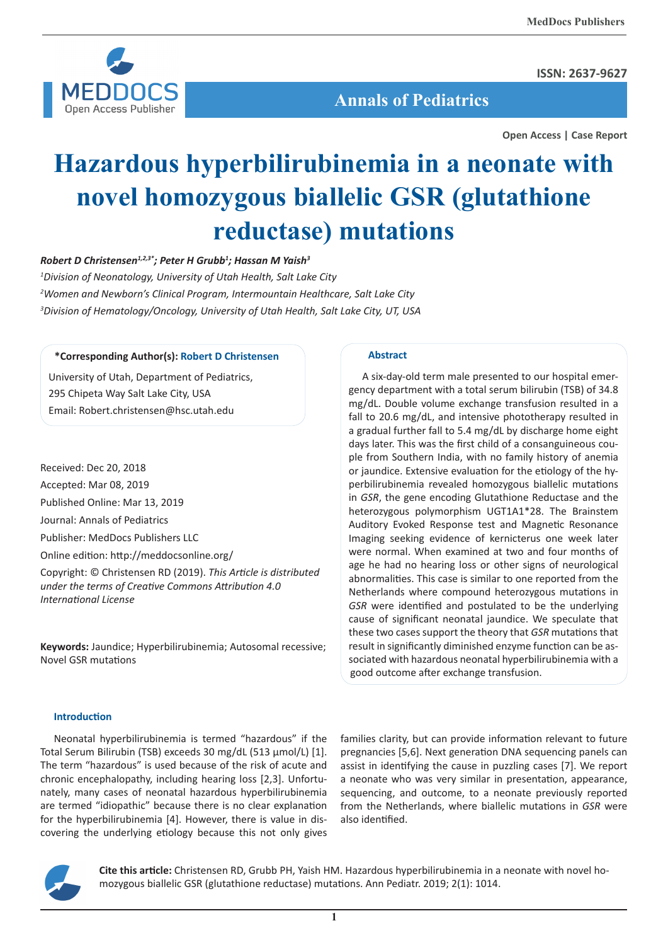

**ISSN: 2637-9627**

 **Annals of Pediatrics**

**Open Access | Case Report**

# **Hazardous hyperbilirubinemia in a neonate with novel homozygous biallelic GSR (glutathione reductase) mutations**

# *Robert D Christensen1,2,3\*; Peter H Grubb1 ; Hassan M Yaish3*

*1 Division of Neonatology, University of Utah Health, Salt Lake City 2 Women and Newborn's Clinical Program, Intermountain Healthcare, Salt Lake City 3 Division of Hematology/Oncology, University of Utah Health, Salt Lake City, UT, USA*

## **\*Corresponding Author(s): Robert D Christensen**

University of Utah, Department of Pediatrics, 295 Chipeta Way Salt Lake City, USA Email: Robert.christensen@hsc.utah.edu

Received: Dec 20, 2018 Accepted: Mar 08, 2019 Published Online: Mar 13, 2019 Journal: Annals of Pediatrics Publisher: MedDocs Publishers LLC Online edition: http://meddocsonline.org/ Copyright: © Christensen RD (2019). *This Article is distributed under the terms of Creative Commons Attribution 4.0* 

**Keywords:** Jaundice; Hyperbilirubinemia; Autosomal recessive; Novel GSR mutations

#### **Abstract**

A six-day-old term male presented to our hospital emergency department with a total serum bilirubin (TSB) of 34.8 mg/dL. Double volume exchange transfusion resulted in a fall to 20.6 mg/dL, and intensive phototherapy resulted in a gradual further fall to 5.4 mg/dL by discharge home eight days later. This was the first child of a consanguineous couple from Southern India, with no family history of anemia or jaundice. Extensive evaluation for the etiology of the hyperbilirubinemia revealed homozygous biallelic mutations in *GSR*, the gene encoding Glutathione Reductase and the heterozygous polymorphism UGT1A1\*28. The Brainstem Auditory Evoked Response test and Magnetic Resonance Imaging seeking evidence of kernicterus one week later were normal. When examined at two and four months of age he had no hearing loss or other signs of neurological abnormalities. This case is similar to one reported from the Netherlands where compound heterozygous mutations in *GSR* were identified and postulated to be the underlying cause of significant neonatal jaundice. We speculate that these two cases support the theory that *GSR* mutations that result in significantly diminished enzyme function can be associated with hazardous neonatal hyperbilirubinemia with a good outcome after exchange transfusion.

#### **Introduction**

*International License*

Neonatal hyperbilirubinemia is termed "hazardous" if the Total Serum Bilirubin (TSB) exceeds 30 mg/dL (513 µmol/L) [1]. The term "hazardous" is used because of the risk of acute and chronic encephalopathy, including hearing loss [2,3]. Unfortunately, many cases of neonatal hazardous hyperbilirubinemia are termed "idiopathic" because there is no clear explanation for the hyperbilirubinemia [4]. However, there is value in discovering the underlying etiology because this not only gives

families clarity, but can provide information relevant to future pregnancies [5,6]. Next generation DNA sequencing panels can assist in identifying the cause in puzzling cases [7]. We report a neonate who was very similar in presentation, appearance, sequencing, and outcome, to a neonate previously reported from the Netherlands, where biallelic mutations in *GSR* were also identified.



**Cite this article:** Christensen RD, Grubb PH, Yaish HM. Hazardous hyperbilirubinemia in a neonate with novel homozygous biallelic GSR (glutathione reductase) mutations. Ann Pediatr. 2019; 2(1): 1014.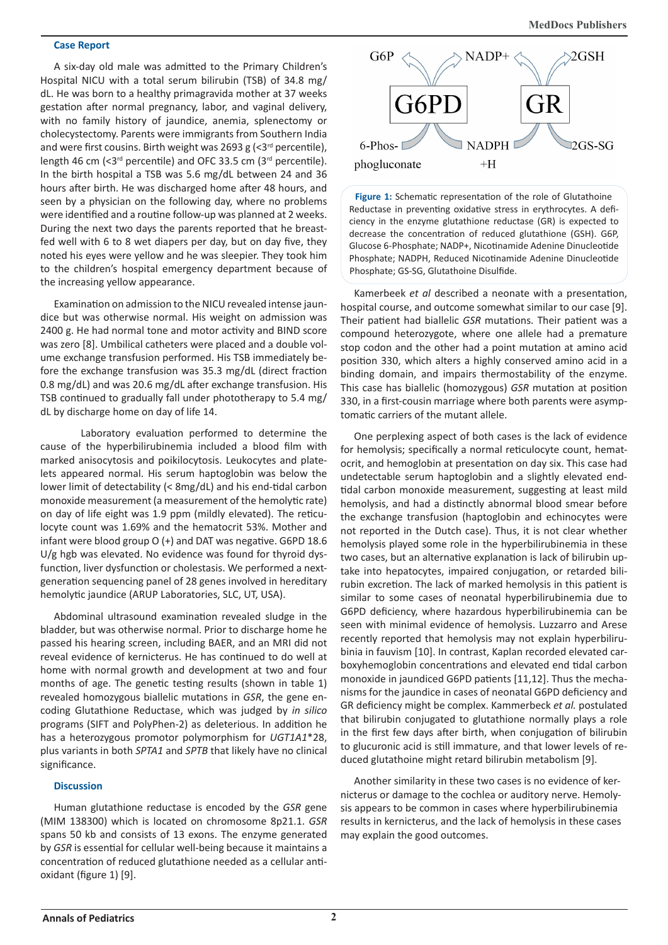#### **Case Report**

A six-day old male was admitted to the Primary Children's Hospital NICU with a total serum bilirubin (TSB) of 34.8 mg/ dL. He was born to a healthy primagravida mother at 37 weeks gestation after normal pregnancy, labor, and vaginal delivery, with no family history of jaundice, anemia, splenectomy or cholecystectomy. Parents were immigrants from Southern India and were first cousins. Birth weight was 2693 g  $\left( \langle 3^{rd} \rangle$  percentile), length 46 cm ( $<$ 3<sup>rd</sup> percentile) and OFC 33.5 cm (3<sup>rd</sup> percentile). In the birth hospital a TSB was 5.6 mg/dL between 24 and 36 hours after birth. He was discharged home after 48 hours, and seen by a physician on the following day, where no problems were identified and a routine follow-up was planned at 2 weeks. During the next two days the parents reported that he breastfed well with 6 to 8 wet diapers per day, but on day five, they noted his eyes were yellow and he was sleepier. They took him to the children's hospital emergency department because of the increasing yellow appearance.

Examination on admission to the NICU revealed intense jaundice but was otherwise normal. His weight on admission was 2400 g. He had normal tone and motor activity and BIND score was zero [8]. Umbilical catheters were placed and a double volume exchange transfusion performed. His TSB immediately before the exchange transfusion was 35.3 mg/dL (direct fraction 0.8 mg/dL) and was 20.6 mg/dL after exchange transfusion. His TSB continued to gradually fall under phototherapy to 5.4 mg/ dL by discharge home on day of life 14.

Laboratory evaluation performed to determine the cause of the hyperbilirubinemia included a blood film with marked anisocytosis and poikilocytosis. Leukocytes and platelets appeared normal. His serum haptoglobin was below the lower limit of detectability (< 8mg/dL) and his end-tidal carbon monoxide measurement (a measurement of the hemolytic rate) on day of life eight was 1.9 ppm (mildly elevated). The reticulocyte count was 1.69% and the hematocrit 53%. Mother and infant were blood group O (+) and DAT was negative. G6PD 18.6 U/g hgb was elevated. No evidence was found for thyroid dysfunction, liver dysfunction or cholestasis. We performed a nextgeneration sequencing panel of 28 genes involved in hereditary hemolytic jaundice (ARUP Laboratories, SLC, UT, USA).

Abdominal ultrasound examination revealed sludge in the bladder, but was otherwise normal. Prior to discharge home he passed his hearing screen, including BAER, and an MRI did not reveal evidence of kernicterus. He has continued to do well at home with normal growth and development at two and four months of age. The genetic testing results (shown in table 1) revealed homozygous biallelic mutations in *GSR*, the gene encoding Glutathione Reductase, which was judged by *in silico* programs (SIFT and PolyPhen-2) as deleterious. In addition he has a heterozygous promotor polymorphism for *UGT1A1*\*28, plus variants in both *SPTA1* and *SPTB* that likely have no clinical significance.

#### **Discussion**

Human glutathione reductase is encoded by the *GSR* gene (MIM 138300) which is located on chromosome 8p21.1. *GSR* spans 50 kb and consists of 13 exons. The enzyme generated by *GSR* is essential for cellular well-being because it maintains a concentration of reduced glutathione needed as a cellular antioxidant (figure 1) [9].



**Figure 1:** Schematic representation of the role of Glutathoine Reductase in preventing oxidative stress in erythrocytes. A deficiency in the enzyme glutathione reductase (GR) is expected to decrease the concentration of reduced glutathione (GSH). G6P, Glucose 6-Phosphate; NADP+, Nicotinamide Adenine Dinucleotide Phosphate; NADPH, Reduced Nicotinamide Adenine Dinucleotide Phosphate; GS-SG, Glutathoine Disulfide.

Kamerbeek *et al* described a neonate with a presentation, hospital course, and outcome somewhat similar to our case [9]. Their patient had biallelic *GSR* mutations. Their patient was a compound heterozygote, where one allele had a premature stop codon and the other had a point mutation at amino acid position 330, which alters a highly conserved amino acid in a binding domain, and impairs thermostability of the enzyme. This case has biallelic (homozygous) *GSR* mutation at position 330, in a first-cousin marriage where both parents were asymptomatic carriers of the mutant allele.

One perplexing aspect of both cases is the lack of evidence for hemolysis; specifically a normal reticulocyte count, hematocrit, and hemoglobin at presentation on day six. This case had undetectable serum haptoglobin and a slightly elevated endtidal carbon monoxide measurement, suggesting at least mild hemolysis, and had a distinctly abnormal blood smear before the exchange transfusion (haptoglobin and echinocytes were not reported in the Dutch case). Thus, it is not clear whether hemolysis played some role in the hyperbilirubinemia in these two cases, but an alternative explanation is lack of bilirubin uptake into hepatocytes, impaired conjugation, or retarded bilirubin excretion. The lack of marked hemolysis in this patient is similar to some cases of neonatal hyperbilirubinemia due to G6PD deficiency, where hazardous hyperbilirubinemia can be seen with minimal evidence of hemolysis. Luzzarro and Arese recently reported that hemolysis may not explain hyperbilirubinia in fauvism [10]. In contrast, Kaplan recorded elevated carboxyhemoglobin concentrations and elevated end tidal carbon monoxide in jaundiced G6PD patients [11,12]. Thus the mechanisms for the jaundice in cases of neonatal G6PD deficiency and GR deficiency might be complex. Kammerbeck *et al.* postulated that bilirubin conjugated to glutathione normally plays a role in the first few days after birth, when conjugation of bilirubin to glucuronic acid is still immature, and that lower levels of reduced glutathoine might retard bilirubin metabolism [9].

Another similarity in these two cases is no evidence of kernicterus or damage to the cochlea or auditory nerve. Hemolysis appears to be common in cases where hyperbilirubinemia results in kernicterus, and the lack of hemolysis in these cases may explain the good outcomes.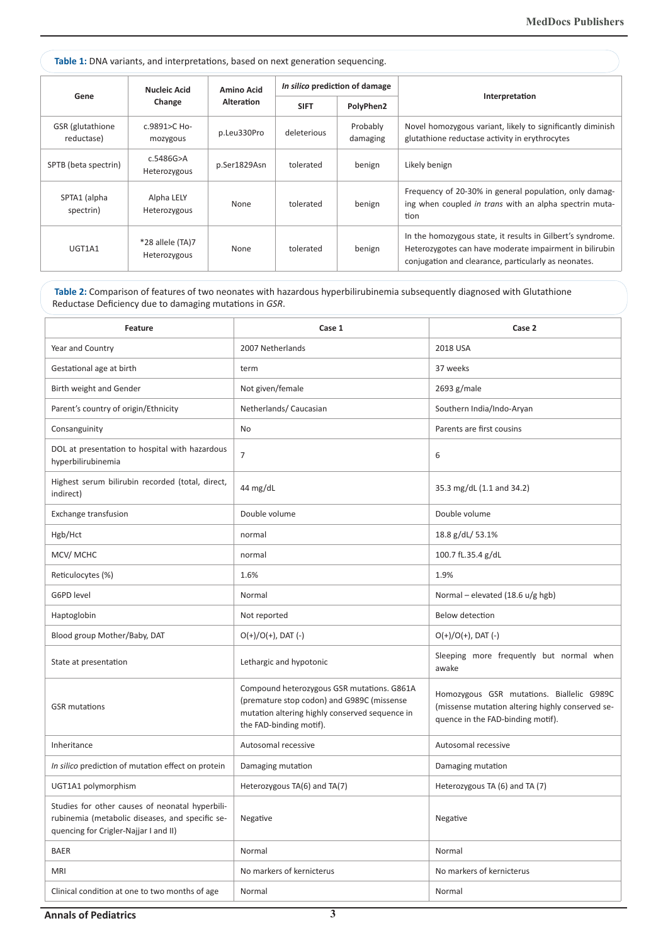| <b>Table 1:</b> DNA variants, and interpretations, based on next generation sequencing. |                                  |                                        |                                |                      |                                                                                                                                                                               |  |  |
|-----------------------------------------------------------------------------------------|----------------------------------|----------------------------------------|--------------------------------|----------------------|-------------------------------------------------------------------------------------------------------------------------------------------------------------------------------|--|--|
| Gene                                                                                    | <b>Nucleic Acid</b><br>Change    | <b>Amino Acid</b><br><b>Alteration</b> | In silico prediction of damage |                      | Interpretation                                                                                                                                                                |  |  |
|                                                                                         |                                  |                                        | <b>SIFT</b>                    | PolyPhen2            |                                                                                                                                                                               |  |  |
| GSR (glutathione<br>reductase)                                                          | c.9891>C Ho-<br>mozygous         | p.Leu330Pro                            | deleterious                    | Probably<br>damaging | Novel homozygous variant, likely to significantly diminish<br>glutathione reductase activity in erythrocytes                                                                  |  |  |
| SPTB (beta spectrin)                                                                    | c.5486G>A<br>Heterozygous        | p.Ser1829Asn                           | tolerated                      | benign               | Likely benign                                                                                                                                                                 |  |  |
| SPTA1 (alpha<br>spectrin)                                                               | Alpha LELY<br>Heterozygous       | None                                   | tolerated                      | benign               | Frequency of 20-30% in general population, only damag-<br>ing when coupled in trans with an alpha spectrin muta-<br>tion                                                      |  |  |
| UGT1A1                                                                                  | *28 allele (TA)7<br>Heterozygous | None                                   | tolerated                      | benign               | In the homozygous state, it results in Gilbert's syndrome.<br>Heterozygotes can have moderate impairment in bilirubin<br>conjugation and clearance, particularly as neonates. |  |  |

**Table 2:** Comparison of features of two neonates with hazardous hyperbilirubinemia subsequently diagnosed with Glutathione Reductase Deficiency due to damaging mutations in *GSR*.

| Feature                                                                                                                                     | Case 1                                                                                                                                                                | Case 2                                                                                                                             |
|---------------------------------------------------------------------------------------------------------------------------------------------|-----------------------------------------------------------------------------------------------------------------------------------------------------------------------|------------------------------------------------------------------------------------------------------------------------------------|
| Year and Country                                                                                                                            | 2007 Netherlands                                                                                                                                                      | 2018 USA                                                                                                                           |
| Gestational age at birth                                                                                                                    | term                                                                                                                                                                  | 37 weeks                                                                                                                           |
| Birth weight and Gender                                                                                                                     | Not given/female                                                                                                                                                      | 2693 g/male                                                                                                                        |
| Parent's country of origin/Ethnicity                                                                                                        | Netherlands/ Caucasian                                                                                                                                                | Southern India/Indo-Aryan                                                                                                          |
| Consanguinity                                                                                                                               | No                                                                                                                                                                    | Parents are first cousins                                                                                                          |
| DOL at presentation to hospital with hazardous<br>hyperbilirubinemia                                                                        | $\overline{7}$                                                                                                                                                        | 6                                                                                                                                  |
| Highest serum bilirubin recorded (total, direct,<br>indirect)                                                                               | 44 mg/dL                                                                                                                                                              | 35.3 mg/dL (1.1 and 34.2)                                                                                                          |
| Exchange transfusion                                                                                                                        | Double volume                                                                                                                                                         | Double volume                                                                                                                      |
| Hgb/Hct                                                                                                                                     | normal                                                                                                                                                                | 18.8 g/dL/ 53.1%                                                                                                                   |
| MCV/MCHC                                                                                                                                    | normal                                                                                                                                                                | 100.7 fL.35.4 g/dL                                                                                                                 |
| Reticulocytes (%)                                                                                                                           | 1.6%                                                                                                                                                                  | 1.9%                                                                                                                               |
| G6PD level                                                                                                                                  | Normal                                                                                                                                                                | Normal - elevated (18.6 u/g hgb)                                                                                                   |
| Haptoglobin                                                                                                                                 | Not reported                                                                                                                                                          | Below detection                                                                                                                    |
| Blood group Mother/Baby, DAT                                                                                                                | $O(+)/O(+)$ , DAT (-)                                                                                                                                                 | $O(+)/O(+)$ , DAT (-)                                                                                                              |
| State at presentation                                                                                                                       | Lethargic and hypotonic                                                                                                                                               | Sleeping more frequently but normal when<br>awake                                                                                  |
| <b>GSR</b> mutations                                                                                                                        | Compound heterozygous GSR mutations. G861A<br>(premature stop codon) and G989C (missense<br>mutation altering highly conserved sequence in<br>the FAD-binding motif). | Homozygous GSR mutations. Biallelic G989C<br>(missense mutation altering highly conserved se-<br>quence in the FAD-binding motif). |
| Inheritance                                                                                                                                 | Autosomal recessive                                                                                                                                                   | Autosomal recessive                                                                                                                |
| In silico prediction of mutation effect on protein                                                                                          | Damaging mutation                                                                                                                                                     | Damaging mutation                                                                                                                  |
| UGT1A1 polymorphism                                                                                                                         | Heterozygous TA(6) and TA(7)                                                                                                                                          | Heterozygous TA (6) and TA (7)                                                                                                     |
| Studies for other causes of neonatal hyperbili-<br>rubinemia (metabolic diseases, and specific se-<br>quencing for Crigler-Najjar I and II) | Negative                                                                                                                                                              | Negative                                                                                                                           |
| <b>BAER</b>                                                                                                                                 | Normal                                                                                                                                                                | Normal                                                                                                                             |
| <b>MRI</b>                                                                                                                                  | No markers of kernicterus                                                                                                                                             | No markers of kernicterus                                                                                                          |
| Clinical condition at one to two months of age                                                                                              | Normal                                                                                                                                                                | Normal                                                                                                                             |